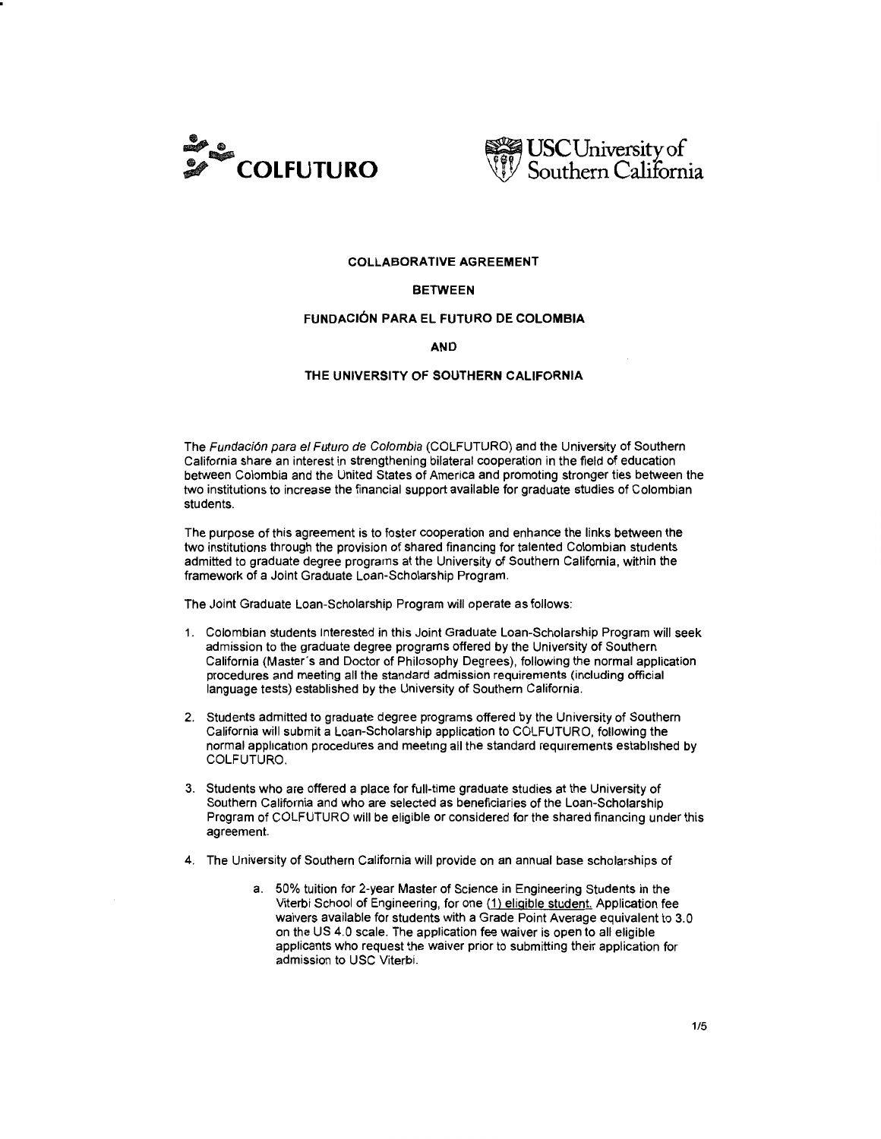



## COLLABORATIVE AGREEMENT

### BETWEEN

# FUNDAC16N PARA EL FUTURO DE COLOMBIA

#### AND

# THE UNIVERSITY OF SOUTHERN CALIFORNIA

The Fundación para el Futuro de Colombia (COLFUTURO) and the University of Southern California share an interest in strengthening bilateral cooperation in the field of education between Colombia and the United States of America and promoting stronger ties between the two institutions to increase the financial support available for graduate studies of Colombian students.

The purpose of this agreement is to foster cooperation and enhance the links between the two institutions through the provision of shared financing for talented Colombian students admitted to graduate degree programs at the University of Southern California, within the framework of a Joint Graduate Loan-Scholarship Program.

The Joint Graduate Loan-Scholarship Program will operate as follows:

- 1. Colombian students interested in this Joint Graduate Loan-Scholarship Program will seek admission to the graduate degree programs offered by the University of Southern California (Master"s and Doctor of Philosophy Degrees), following the normal application procedures and meeting all the standard admission requirements (including official language tests) established by the University of Southern California.
- 2. Students admitted to graduate degree programs offered by the University of Southern California will submit a Loan-Scholarship application to COLFUTURO, following the normal application procedures and meeting all the standard requirements established by COLFUTURO.
- 3. Students who are offered a place for full-time graduate studies at the University of Southern California and who are selected as beneficiaries of the Loan-Scholarship Program of COLFUTURO will be eligible or considered for the shared financing under this agreement.
- 4. The University of Southern California will provide on an annual base scholarships of
	- a. 50% tuition for 2-year Master of Science in Engineering Students in the Viterbi School of Engineering, for one (1) eligible student. Application fee waivers available for students with a Grade Point Average equivalent to 3.0 on the US 4.0 scale. The application fee waiver is open to all eligible applicants who request the waiver prior to submitting their application for admission to USC Viterbi.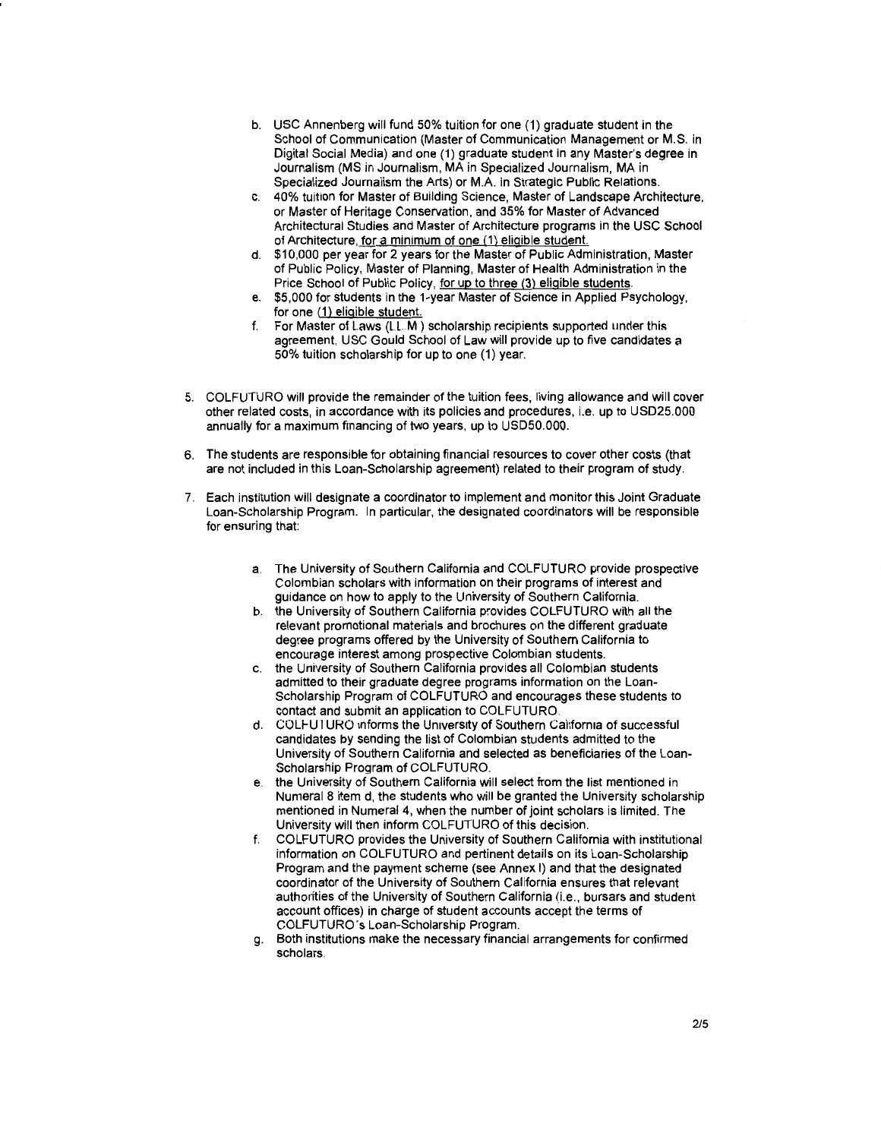- b. USC Annenberg will fund 50% tuition for one (1) graduate student in the School of Communication (Master of Communication Management or M.S. in Digital Social Media) and one (1) graduate student in any Master's degree in Journalism (MS in Journalism, MAin Specialized Journalism, MA in Specialized Journalism the Arts) or M.A. in Strategic Public Relations.
- c. 40% tuition for Master of Building Science, Master of Landscape Architecture, or Master of Heritage Conservation, and 35% for Master of Advanced Architectural Studies and Master of Architecture programs in the USC School of Architecture, for a minimum of one (1) eligible student.
- d. \$10,000 per year for 2 years for the Master of Public Administration, Master of Public Policy, Master of Planning, Master of Health Administration in the Price School of Public Policy, for up to three (3) eligible students.
- e. \$5,000 for students in the 1-year Master of Science in Applied Psychology, for one (1) eligible student.
- f. For Master of Laws  $(LLM)$  scholarship recipients supported under this agreement, USC Gould School of Law will provide up to five candidates a 50% tuition scholarship for up to one (1) year.
- 5. COLFUTURO will provide the remainder of the tuition fees, living allowance and will cover other related costs, in accordance with its policies and procedures, i.e. up to USD25.000 annually for a maximum financing of two years, up to USD50.000.
- 6. The students are responsible for obtaining financial resources to cover other costs (that are not included in this Loan-Scholarship agreement) related to their program of study.
- 7. Each institution will designate a coordinator to implement and monitor this Joint Graduate Loan-Scholarship Program. In particular, the designated coordinators will be responsible for ensuring that:
	- a. The University of Southern California and COLFUTURO provide prospective Colombian scholars with information on their programs of interest and guidance on how to apply to the University of Southern California.
	- b. the University of Southern California provides COLFUTURO with all the relevant promotional materials and brochures on the different graduate degree programs offered by the University of Southern California to encourage interest among prospective Colombian students.
	- c. the University of Southern California provides all Colombian students admitted to their graduate degree programs information on the Loan-Scholarship Program of COLFUTURO and encourages these students to contact and submit an application to COLFUTURO.
	- d. COLFUTURO informs the University of Southern California of successful candidates by sending the list of Colombian students admitted to the University of Southern California and selected as beneficiaries of the Loan-Scholarship Program of COLFUTURO.
	- e. the University of Southern California will select from the list mentioned in Numeral 8 item d, the students who will be granted the University scholarship mentioned in Numeral 4, when the number of joint scholars is limited. The University will then inform COLFUTURO of this decision.
	- f. COLFUTURO provides the University of Southern California with institutional information on COLFUTURO and pertinent details on its Loan-Scholarship Program and the payment scheme (see Annex I) and that the designated coordinator of the University of Southern California ensures that relevant authorities of the University of Southern California (i.e., bursars and student account offices) in charge of student accounts accept the terms of COLFUTURO's Loan-Scholarship Program.
	- g. Both institutions make the necessary financial arrangements for confirmed scholars.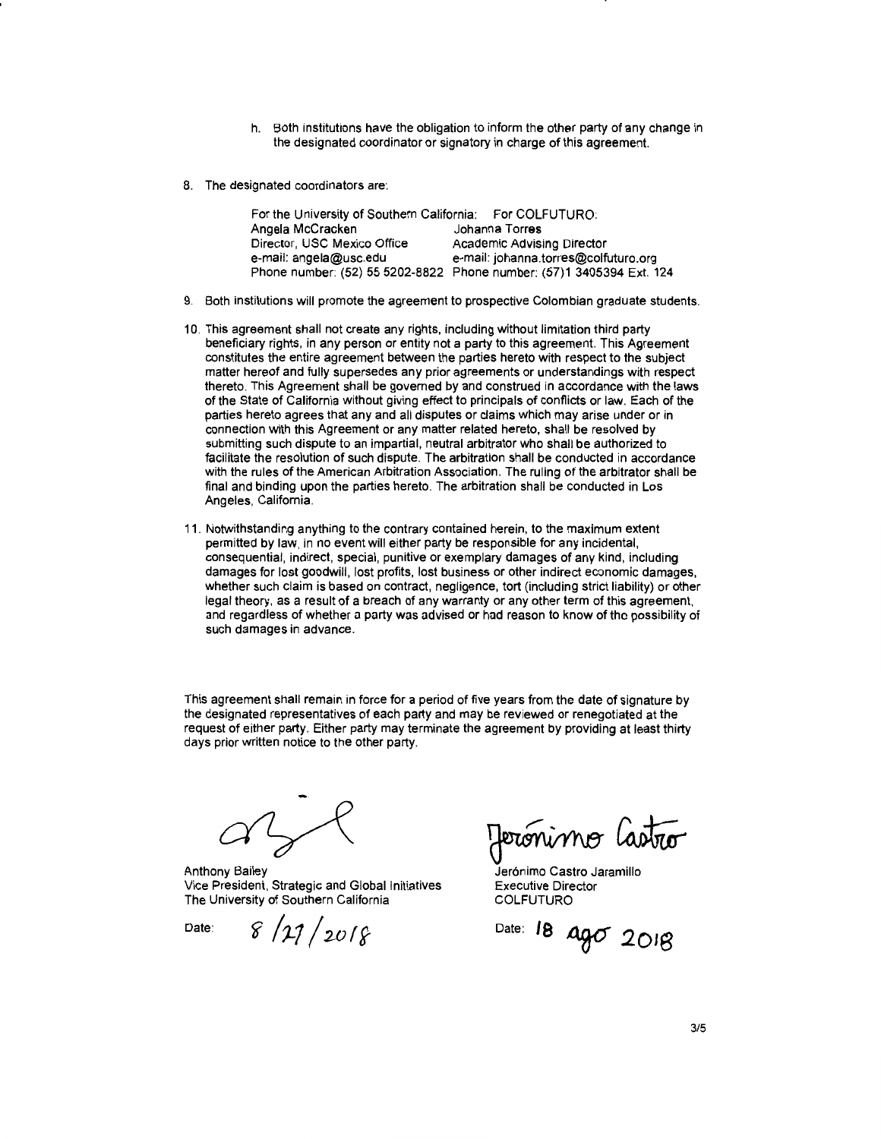- h. Both institutions have the obligation to inform the other party of any change in the designated coordinator or signatory in charge of this agreement.
- 8. The designated coordinators are:

| For the University of Southern California: For COLFUTURO: |                                                                      |
|-----------------------------------------------------------|----------------------------------------------------------------------|
| Angela McCracken                                          | Johanna Torres                                                       |
| Director, USC Mexico Office                               | Academic Advising Director                                           |
| e-mail: angela@usc.edu                                    | e-mail: johanna.torres@colfuturo.org                                 |
|                                                           | Phone number: (52) 55 5202-8822 Phone number: (57)1 3405394 Ext. 124 |

- 9. Both institutions will promote the agreement to prospective Colombian graduate students.
- 10. This agreement shall not create any rights, including without limitation third party beneficiary rights, in any person or entity not a party to this agreement. This Agreement constitutes the entire agreement between the parties hereto with respect to the subject matter hereof and fully supersedes any prior agreements or understandings with respect thereto. This Agreement shall be governed by and construed in accordance with the laws of the State of California without giving effect to principals of conflicts or law. Each of the parties hereto agrees that any and all disputes or claims which may arise under or in connection with this Agreement or any matter related hereto, shall be resolved by submitting such dispute to an impartial, neutral arbitrator who shall be authorized to facilitate the resolution of such dispute. The arbitration shall be conducted in accordance with the rules of the American Arbitration Association. The ruling of the arbitrator shall be final and binding upon the parties hereto. The arbitration shall be conducted in Los Angeles, California.
- 11. Notwithstanding anything to the contrary contained herein, to the maximum extent permitted by law, in no event will either party be responsible for any incidental, consequential, indirect, special, punitive or exemplary damages of any kind, including damages for lost goodwill, lost profits, lost business or other indirect economic damages, whether such claim is based on contract, negligence, tort (including strict liability) or other legal theory, as a result of a breach of any warranty or any other term of this agreement, and regardless of whether a party was advised or had reason to know of the possibility of such damages in advance.

This agreement shall remain in force for a period of five years from the date of signature by the designated representatives of each party and may be reviewed or renegotiated at the request of either party. Either party may terminate the agreement by providing at least thirty days prior written notice to the other party.

Anthony Bailey Vice President, Strategic and Global Initiatives The University of Southern California

 $8/17/2018$ 

Date:

percónimo lastro<br>Jerónimo Castro Jaramillo

Executive Director COLFUTURO

Date: **18 ago** 2018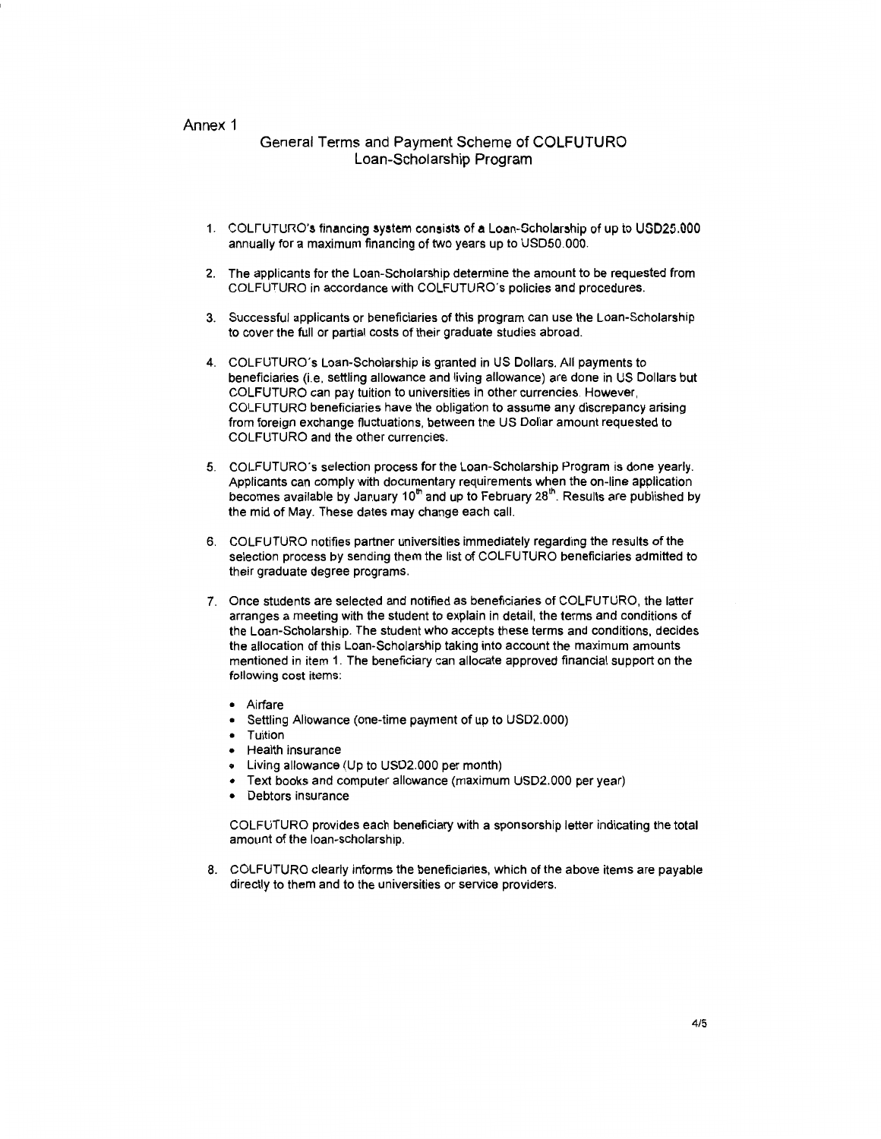## Annex 1

# General Terms and Payment Scheme of COLFUTURO Loan-Scholarship Program

- 1. COLFUTURO's financing system consists of a Loan-Scholarship of up to USD25.000. annually for a maximum financing of two years up to USD50.000.
- 2. The applicants for the Loan-Scholarship determine the amount to be requested from COLFUTURO in accordance with COLFUTURO's policies and procedures.
- 3. Successful applicants or beneficiaries of this program can use the Loan-Scholarship to cover the full or partial costs of their graduate studies abroad.
- 4. COLFUTURO's Loan-Scholarship is granted in US Dollars. All payments to beneficiaries (i.e, settling allowance and living allowance) are done in US Dollars but COLFUTURO can pay tuition to universities in other currencies. However, COLFUTURO beneficiaries have the obligation to assume any discrepancy arising from foreign exchange fluctuations, between the US Dollar amount requested to COLFUTURO and the other currencies.
- 5. COLFUTURO's selection process for the Loan-Scholarship Program is done yearly. Applicants can comply with documentary requirements when the on-line application becomes available by January 10<sup>th</sup> and up to February 28<sup>th</sup>. Results are published by the mid of May. These dates may change each call.
- 6. COLFUTURO notifies partner universities immediately regarding the results of the selection process by sending them the list of COLFUTURO beneficiaries admitted to their graduate degree programs.
- 7. Once students are selected and notified as beneficiaries of COLFUTURO, the latter arranges a meeting with the student to explain in detail, the terms and conditions of the Loan-Scholarship. The student who accepts these terms and conditions, decides the allocation of this Loan-Scholarship taking into account the maximum amounts mentioned in item 1. The beneficiary can allocate approved financial support on the following cost items:
	- Airfare
	- Settling Allowance (one-time payment of up to USD2.000)
	- Tuition
	- Health insurance
	- Living allowance (Up to USD2.000 per month)
	- Text books and computer allowance (maximum USD2.000 per year)
	- Debtors insurance

COLFUTURO provides each beneficiary with a sponsorship letter indicating the total amount of the loan-scholarship.

8. COLFUTURO clearly informs the beneficiaries, which of the above items are payable directly to them and to the universities or service providers.